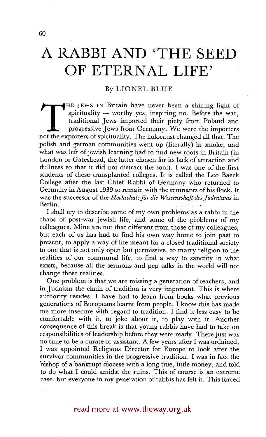## **A RABBI AND 'THE SEED OF ETERNAL LIFE'**

## By LIONEL BLUE

The Jaws IN Binant have hever been a sining light of<br>spirituality — worthy yes, inspiring no. Before the war,<br>traditional Jews imported their piety from Poland and<br>progressive Jews from Germany. We were the importers<br>not t IHE JEWS IN Britain have never been a shining light of spirituality  $-$  worthy yes, inspiring no. Before the war, traditional Jews imported their piety from Poland and progressive Jews from Germany. We were the importers polish and german communities went up (literally) in smoke, and what was left of jewish learning had to find new roots in Britain (in London or Gateshead, the latter chosen for its lack of attraction and dullness so that it did not distract the soul). I was one of the first students of these transplanted colleges. It is called the Leo Baeck College after the last Chief Rabbi of Germany who returned to Germany in August 1939 to remain with the remnants of his flock. It was the successor of the *Hochschule für die Wissenschaft des Judentums* in Berlin..

I shall try to describe some of my own probtems as a rabbi in the chaos of post-war jewish life, and some of the problems of my colleagues. Mine are not that different from those of my colleagues, but each of us has had to find his own way home to join past to present, to apply a way of life meant for a closed traditional society to one that is not only open but permissive, to marry religion to the realities of our communal life, to find a way to sanctity in what exists, because all the sermons and pep talks in the world will not change those realities.

One problem is that we are missing a generation of teachers, and in Judaism the chain of tradition is very important. This is where authority resides. I have had to learn from books what previous generations of Europeans learnt from people. I know this has made me more insecure With regard to tradition. I find it less easy to be comfortable with it, to joke about it, to play with it. Another consequence of this break is that young rabbis have had to take on responsibilities of leadership before they were ready. There just was no time to be a curate or assistant. A few years after I was ordained, I was appointed Religious Director for Europe to look after the survivor communities in the progressive tradition. I was in fact the bishop oF a bankrupt diocese with a long title, little money, and told to do what I could amidst the ruins. This of course is an extreme case, but everyone in my generation of rabbis has felt it. This forced

60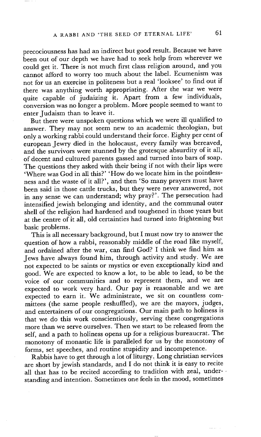precociousness has had an indirect but good result. Because we have been out of our depth we have had to seek help from wherever we could get it. There is not much first class religion around, and you cannot afford to worry too much about the label. Ecumenism was not for us an exercise in politeness but a real 'looksee' to find out if there was anything worth appropriating. After the war we were quite capable of judaizing it. Apart from a few individuals, conversion was no longer a problem. More people seemed to want to enter Judaism than to leave it.

But there were unspoken questions which we were ill qualified to answer. They may not seem new to an academic theologian, but only a working rabbi could understand their force. Eighty per cent of european Jewry died in the holocaust, every family was bereaved, and the survivors were stunned by the grotesque absurdity of it all, of decent and cultured parents gassed and turned into bars of soap. The questions they asked with their being if not with their lips were 'Where was God in all this?' 'How do we locate him in the pointlessness and the waste of it all?', and then 'So many prayers must have been said in those cattle trucks, but they were never answered, not in any sense we can understand; why pray?'. The persecution had intensified jewish belonging and identity, and the communal outer shell of the religion had hardened and toughened in those years but at the centre of it all, old certainties had turned into frightening but basic problems.

This is all necessary background, but I must now try to answer the question of how a rabbi, reasonably middle of the road like myself, and ordained after the war, can find God? I think we find him as Jews have always found him, through activity and study. We are not expected to be saints or mystics or even exceptionally kind and good. We are expected to know a lot, to be able to lead, to be the voice of our communities and to represent them, and we are expected to work very hard. Our pay is reasonable and we are expected to earn it. We administrate, we sit on countless committees (the same people reshuffled), we are the mayors, judges, and entertainers of our congregations. Our main path to holiness is that we do this work conscientiously, serving these congregations more than we serve ourselves. Then we start to be released from the self, and a path to holiness opens up for a religious bureaucrat. The monotony of monastic life is paralleled for us by the monotony of forms, set speeches, and routine stupidity and incompetence.

Rabbis have to get through a lot of liturgy, Long christian services are short by jewish standards, and I do not think it is easy to recite all that has to be recited according to tradition with zeal, understanding and intention. Sometimes one feels in the mood, sometimes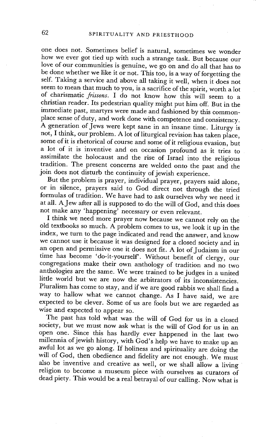one does not. Sometimes belief is natural, sometimes we wonder how we ever got tied up with such a strange task. But because our love of our communities is genuine, we go on and do all that has to be done whether we like it or not. This too, is a way of forgetting the self. Taking a service and above all taking it well, when it does not seem to mean that much to you, is a sacrifice of the spirit, worth a lot of charismatic *frissons.* I do not know how this will seem to a christian reader. Its pedestrian quality might put him off. But in the immediate past, martyrs were made and fashioned by this commonplace sense of duty, and work done with competence and consistency. A generation of Jews were kept sane in an insane time. Liturgy is not, I think, our problem. A lot of liturgical revision has taken place, some of it is rhetorical of course and some of it religious evasion, but a lot of it is inventive and on occasion profound as it tries to assimilate the holocaust and the rise of Israel into the religious tradition. The present concerns are welded onto the past and the join does not disturb the continuity of jewish experience.

But the problem is prayer, individual prayer, prayers said alone, or in silence, prayers said to God direct not through the tried formulas of tradition. We have had to ask ourselves why we need it at all. A Jew after all is supposed to do the will of God, and this does not make any 'happening' necessary or even relevant.

I think we need more prayer now because we cannot rely on the old textbooks so much. A problem comes to us, we look it up in the index, we turn to the page indicated and read the answer, and know we cannot use it because it was designed for a closed society and in an open and permissive one it does not fit. A lot of Judaism in our time has become 'do-it-yourself'. Without benefit of clergy, our congregations make their own anthology of tradition and no two anthologies are the same. We were trained to be judges in a united little world but we are now the arbitrators of its inconsistencies. Pluralism has come to stay, and if we are good rabbis we shall find a way to hallow what we cannot change. As I have said, we are expected to be clever. Some of us are fools but we are regarded as wise and expected to appear so.

The past has told what was the will of God for us in a closed society, but we must now ask what is the will of God for us in an open one. Since this has hardly ever happened in the last two millennia of jewish history, with God's help we have to make up an awful lot as we go along. If holiness and spirituality are doing the will of God, then obedience and fidelity are not enough. We must also be inventive and creative as well, or we shall allow a living religion to become a museum piece with ourselves as curators of dead piety. This would be a real betrayal of our calling. Now what is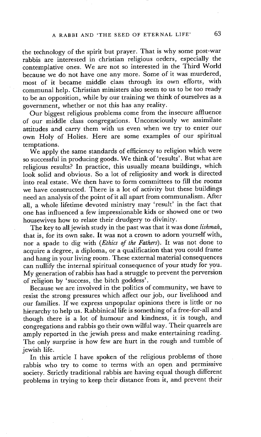the technology of the spirit but prayer. That is why some post-war rabbis are interested in christian religious orders, especially the contemplative ones. We are not so interested in the Third World because we do not have one any more. Some of it was murdered, most of it became middle class through its own efforts, with communal help. Christian ministers also seem to us to be too ready to be an opposition, while by our training we think of ourselves as a government, whether or not this has any reality.

Our biggest religious problems come from the insecure affluence of our middle class congregations. Unconsciously we assimilate attitudes and carry them with us even when we try to enter our own Holy of Holies. Here are some examples of our spiritual temptations.

We apply the same standards of efficiency to religion which were so successful in producing goods. We think of 'results'. But what are religious results? In practice, this usually means buildings, which look solid and obvious. So a lot of religiosity and work is directed into real estate. We then have to form committees to fill the rooms we have constructed. There is a lot of activity but these buildings need an analysis of the point of it all apart from communalism. After all, a whole lifetime devoted ministry may 'result' in the fact that one has influenced a few impressionable kids or showed one or two housewives how to relate their drudgery to divinity.

The key to all jewish study in the past was that it was done *lishmah,*  that is, for its own sake. It was not a crown to adorn yourself with, nor a spade to dig with *(Ethics of the Fathers).* It was not done to acquire a degree, a diploma, or a qualification that you could frame and hang in your living room. These external material consequences can nullify the internal spiritual consequence of your study for you. My generation of rabbis has had a struggle to prevent the perversion of religion by 'success, the bitch goddess'.

Because we are involved in the politics of community, we have to resist the strong pressures which affect our job, our livelihood and our families. If we express unpopular opinions there is little or no hierarchy to help us. Rabbinical life is something of a free-for-all and though there is a lot of humour and kindness, it is tough, and congregations and rabbis go their own wilful way. Their quarrels are amply reported in the jewish press and make entertaining reading. The only surprise is how few are hurt in the rough and tumble of jewish life.

In this article I have spoken of the religious problems of those rabbis who try to come to terms with an open and permissive society. Strictly traditional rabbis are having equal though different problems in trying to keep their distance from it, and prevent their